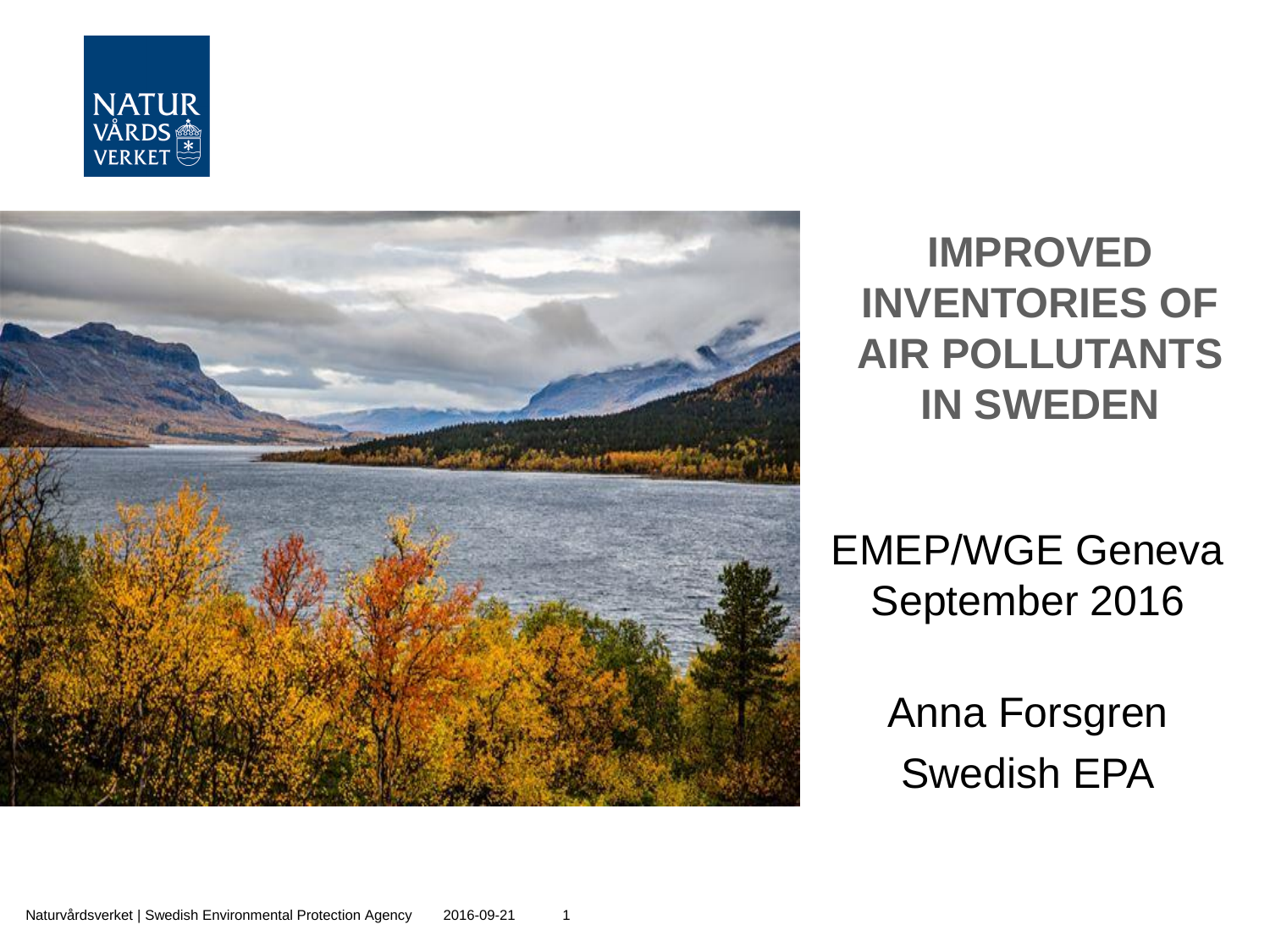



#### **IMPROVED INVENTORIES OF AIR POLLUTANTS IN SWEDEN**

EMEP/WGE Geneva September 2016

> Anna Forsgren Swedish EPA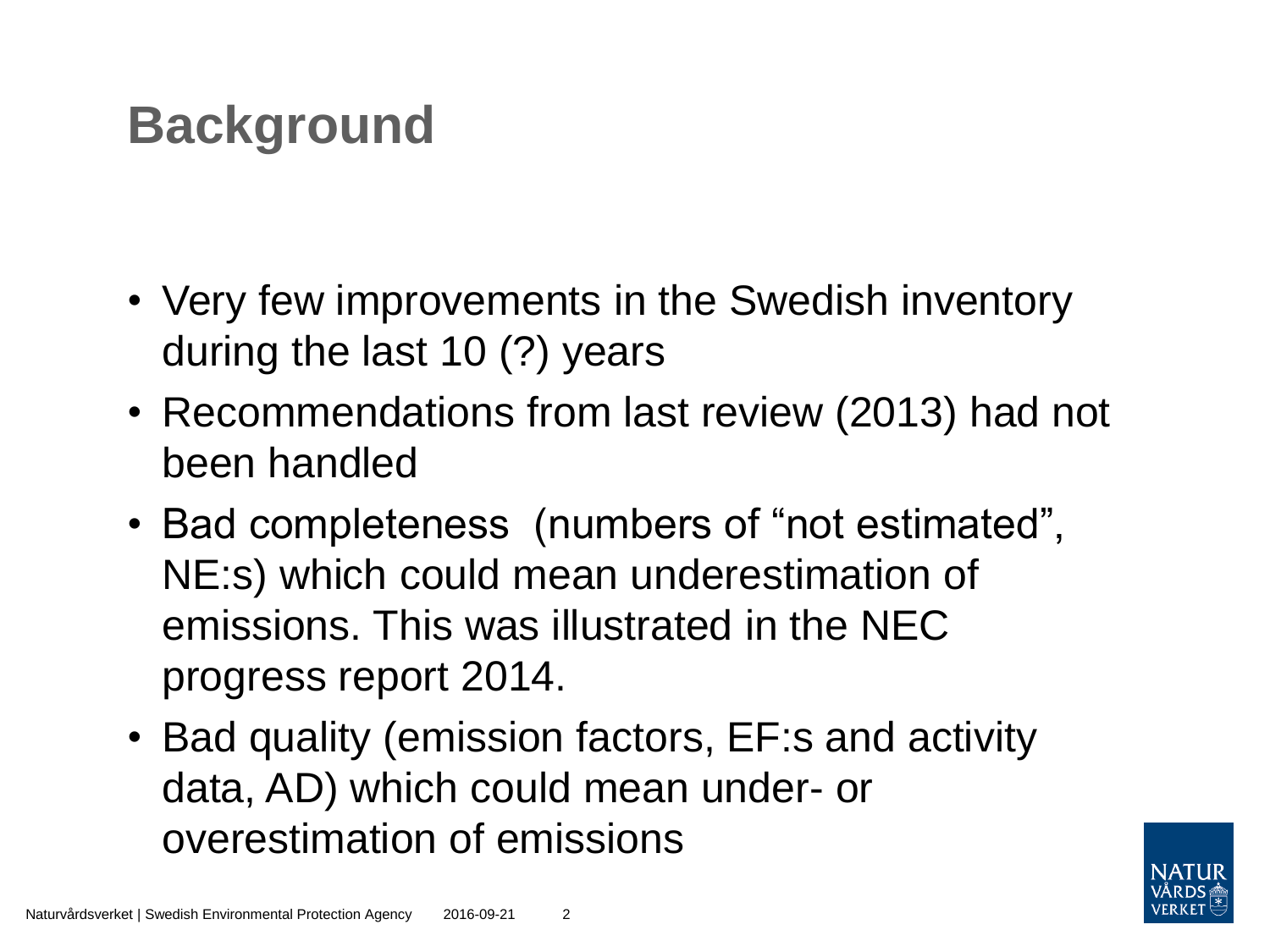## **Background**

- Very few improvements in the Swedish inventory during the last 10 (?) years
- Recommendations from last review (2013) had not been handled
- Bad completeness (numbers of "not estimated", NE:s) which could mean underestimation of emissions. This was illustrated in the NEC progress report 2014.
- Bad quality (emission factors, EF:s and activity data, AD) which could mean under- or overestimation of emissions

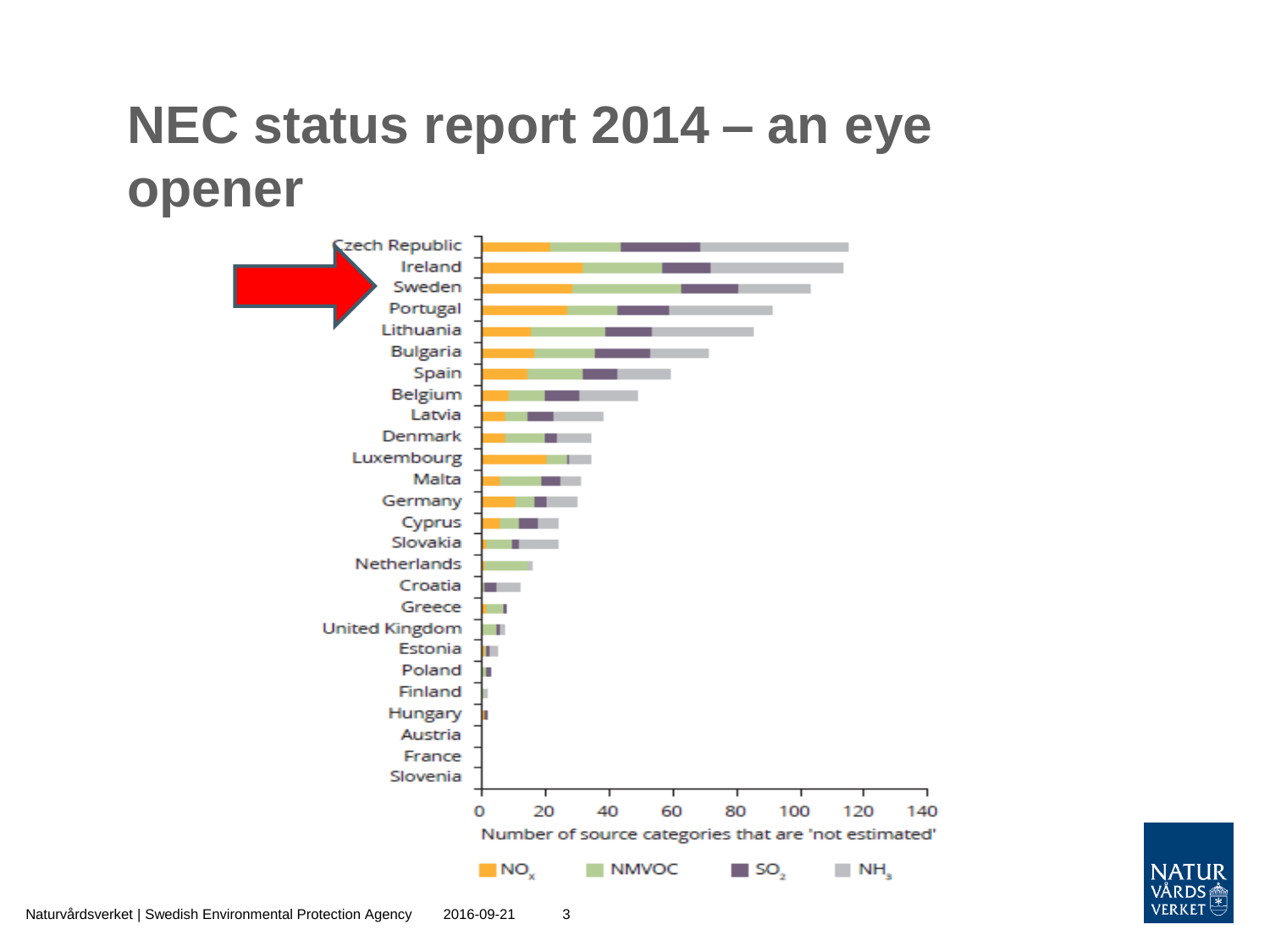### **NEC status report 2014 – an eye opener**



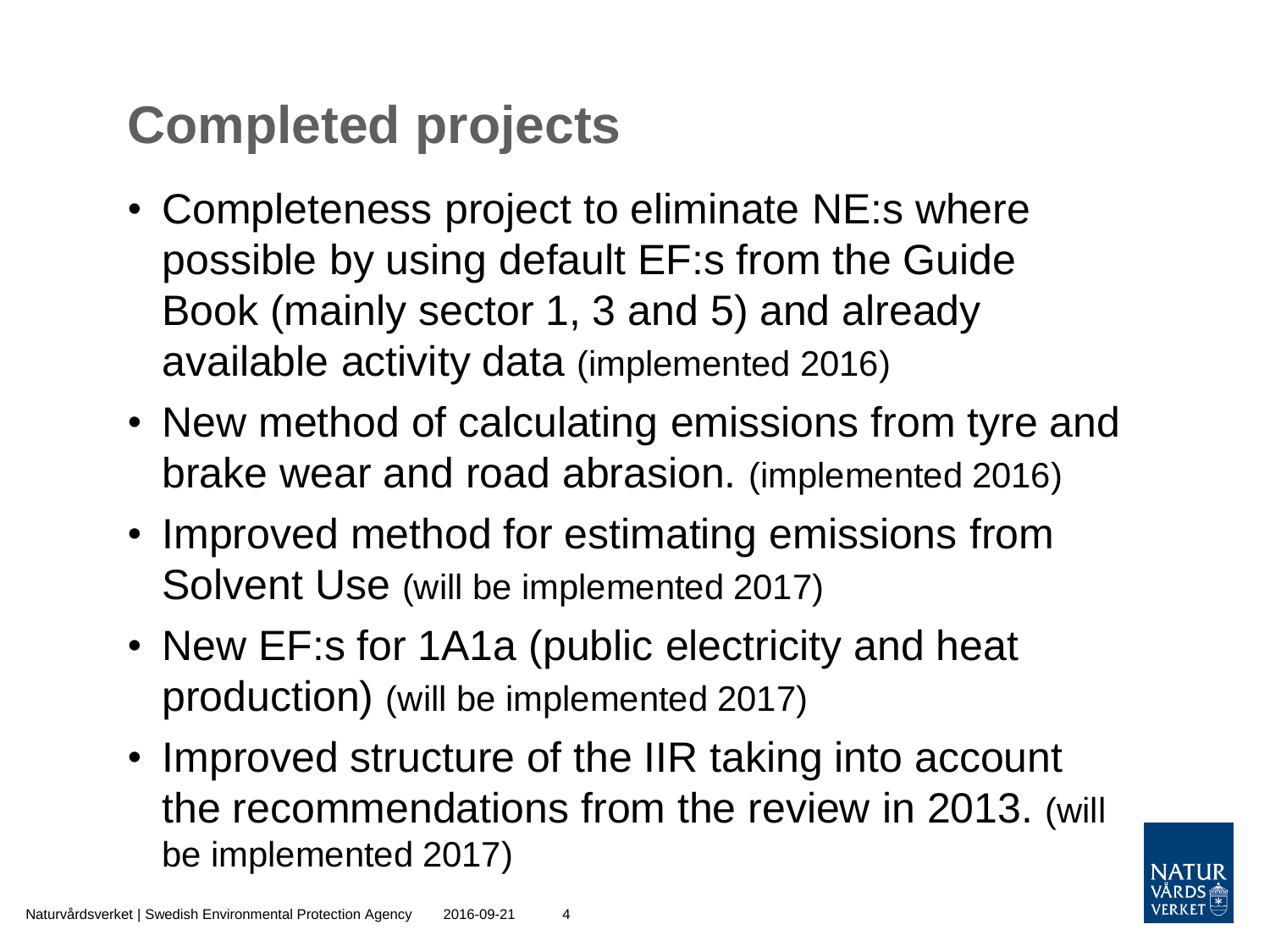## **Completed projects**

- Completeness project to eliminate NE:s where possible by using default EF:s from the Guide Book (mainly sector 1, 3 and 5) and already available activity data (implemented 2016)
- New method of calculating emissions from tyre and brake wear and road abrasion. (implemented 2016)
- Improved method for estimating emissions from Solvent Use (will be implemented 2017)
- New EF:s for 1A1a (public electricity and heat production) (will be implemented 2017)
- Improved structure of the IIR taking into account the recommendations from the review in 2013. (will be implemented 2017)

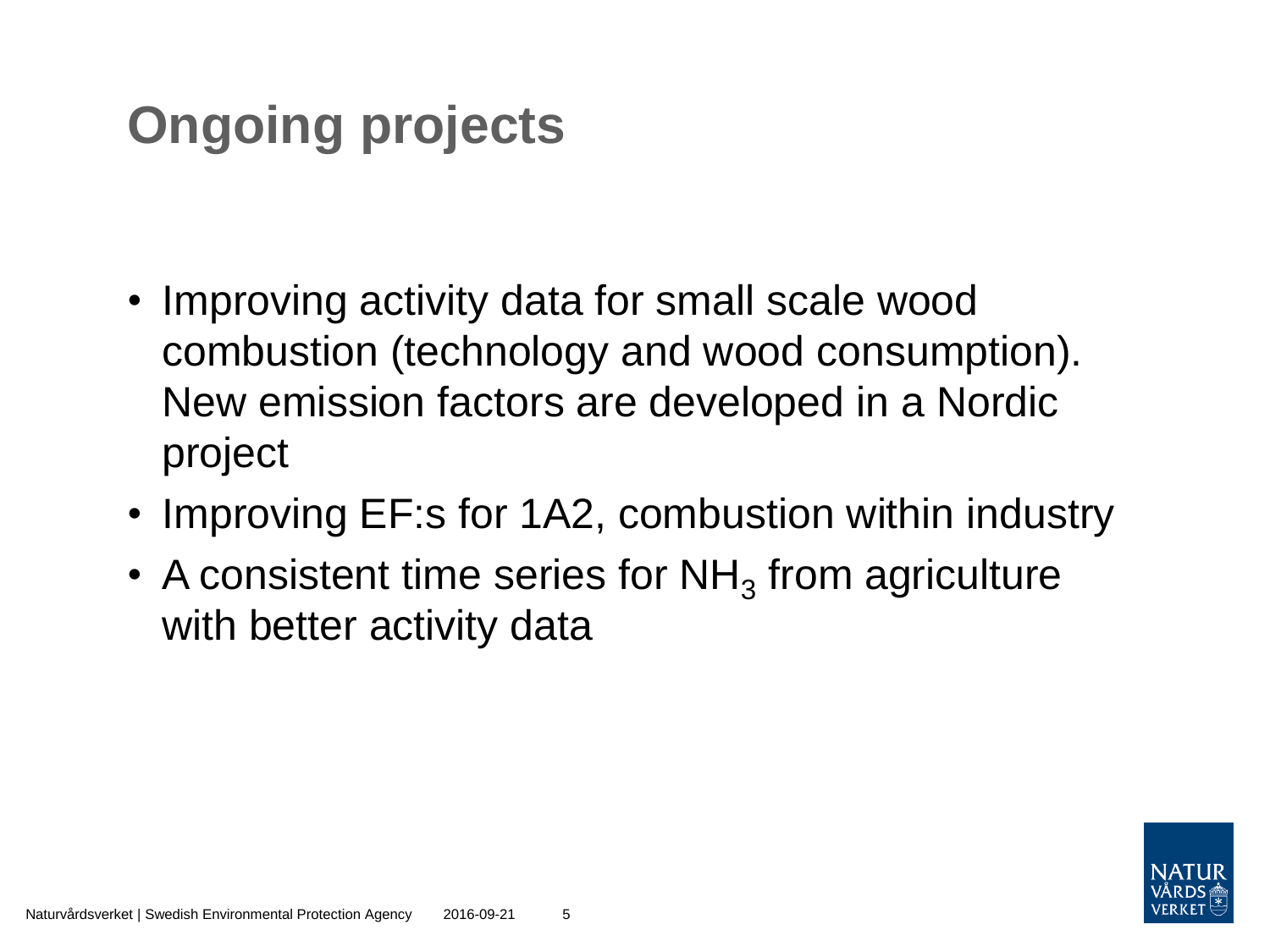# **Ongoing projects**

- Improving activity data for small scale wood combustion (technology and wood consumption). New emission factors are developed in a Nordic project
- Improving EF:s for 1A2, combustion within industry
- A consistent time series for NH<sub>3</sub> from agriculture with better activity data